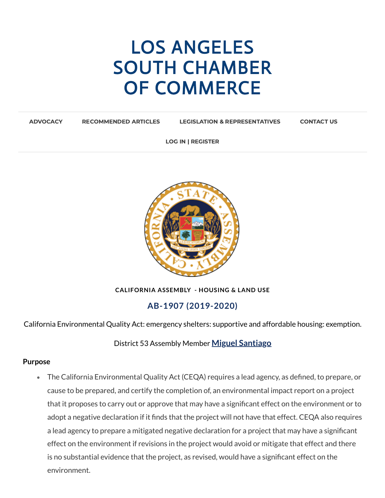# LOS ANGELES SOUTH CHAMBER OF [COMMERCE](https://www.lascc.us/)

[ADVOCACY](https://www.lascc.us/) [RECOMMENDED](https://www.lascc.us/recommended-articles.html) ARTICLES LEGISLATION & [REPRESENTATIVES](https://www.lascc.us/legislation--representatives.html) [CONTACT](https://www.lascc.us/contact-us.html) US

LOG IN | REGISTER



**CALIFORNIA ASSEMBLY - HOUSING & LAND USE**

## **AB-1907 (2019-2020)**

California Environmental Quality Act: emergency shelters: supportive and affordable housing: exemption.

District 53 Assembly Member **Miguel [Santiago](https://a53.asmdc.org/)**

#### **Purpose**

The California Environmental Quality Act (CEQA) requires a lead agency, as defined, to prepare, or cause to be prepared, and certify the completion of, an environmental impact report on a project that it proposes to carry out or approve that may have a significant effect on the environment or to adopt a negative declaration if it finds that the project will not have that effect. CEQA also requires a lead agency to prepare a mitigated negative declaration for a project that may have a significant effect on the environment if revisions in the project would avoid or mitigate that effect and there is no substantial evidence that the project, as revised, would have a significant effect on the environment.